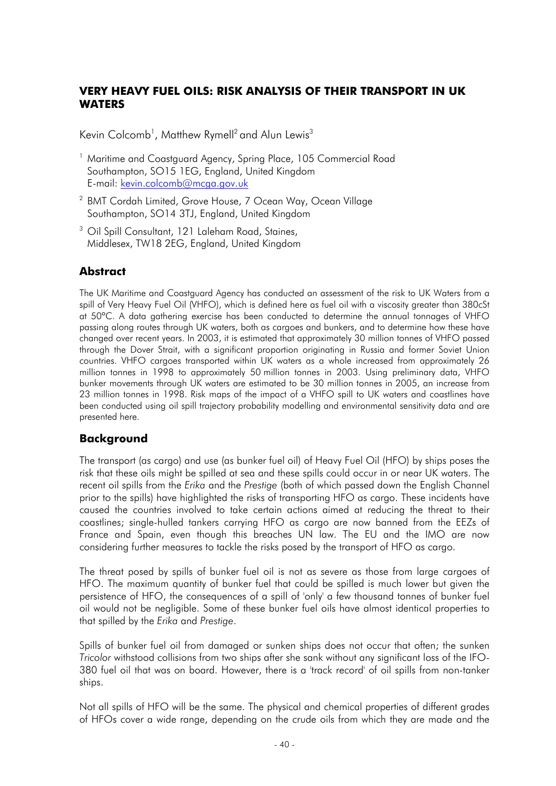## **VERY HEAVY FUEL OILS: RISK ANALYSIS OF THEIR TRANSPORT IN UK WATERS**

Kevin Colcomb<sup>1</sup>, Matthew Rymell $^2$  and Alun Lewis $^3$ 

- <sup>1</sup> Maritime and Coastguard Agency, Spring Place, 105 Commercial Road Southampton, SO15 1EG, England, United Kingdom E-mail: kevin.colcomb@mcga.gov.uk
- <sup>2</sup> BMT Cordah Limited, Grove House, 7 Ocean Way, Ocean Village Southampton, SO14 3TJ, England, United Kingdom
- <sup>3</sup> Oil Spill Consultant, 121 Laleham Road, Staines, Middlesex, TW18 2EG, England, United Kingdom

## **Abstract**

The UK Maritime and Coastauard Agency has conducted an assessment of the risk to UK Waters from a spill of Very Heavy Fuel Oil (VHFO), which is defined here as fuel oil with a viscosity greater than 380cSt at 50°C. A data gathering exercise has been conducted to determine the annual tonnages of VHFO passing along routes through UK waters, both as cargoes and bunkers, and to determine how these have changed over recent years. In 2003, it is estimated that approximately 30 million tonnes of VHFO passed through the Dover Strait, with a significant proportion originating in Russia and former Soviet Union countries. VHFO cargoes transported within UK waters as a whole increased from approximately 26 million tonnes in 1998 to approximately 50 million tonnes in 2003. Using preliminary data, VHFO bunker movements through UK waters are estimated to be 30 million tonnes in 2005, an increase from 23 million tonnes in 1998. Risk maps of the impact of a VHFO spill to UK waters and coastlines have been conducted using oil spill trajectory probability modelling and environmental sensitivity data and are presented here.

### **Background**

The transport (as cargo) and use (as bunker fuel oil) of Heavy Fuel Oil (HFO) by ships poses the risk that these oils might be spilled at sea and these spills could occur in or near UK waters. The recent oil spills from the *Erika* and the *Prestige* (both of which passed down the English Channel prior to the spills) have highlighted the risks of transporting HFO as cargo. These incidents have caused the countries involved to take certain actions aimed at reducing the threat to their coastlines; single-hulled tankers carrying HFO as cargo are now banned from the EEZs of France and Spain, even though this breaches UN law. The EU and the IMO are now considering further measures to tackle the risks posed by the transport of HFO as cargo.

The threat posed by spills of bunker fuel oil is not as severe as those from large cargoes of HFO. The maximum quantity of bunker fuel that could be spilled is much lower but given the persistence of HFO, the consequences of a spill of 'only' a few thousand tonnes of bunker fuel oil would not be negligible. Some of these bunker fuel oils have almost identical properties to that spilled by the *Erika* and *Prestige*.

Spills of bunker fuel oil from damaged or sunken ships does not occur that often; the sunken *Tricolor* withstood collisions from two ships after she sank without any significant loss of the IFO-380 fuel oil that was on board. However, there is a 'track record' of oil spills from non-tanker ships.

Not all spills of HFO will be the same. The physical and chemical properties of different grades of HFOs cover a wide range, depending on the crude oils from which they are made and the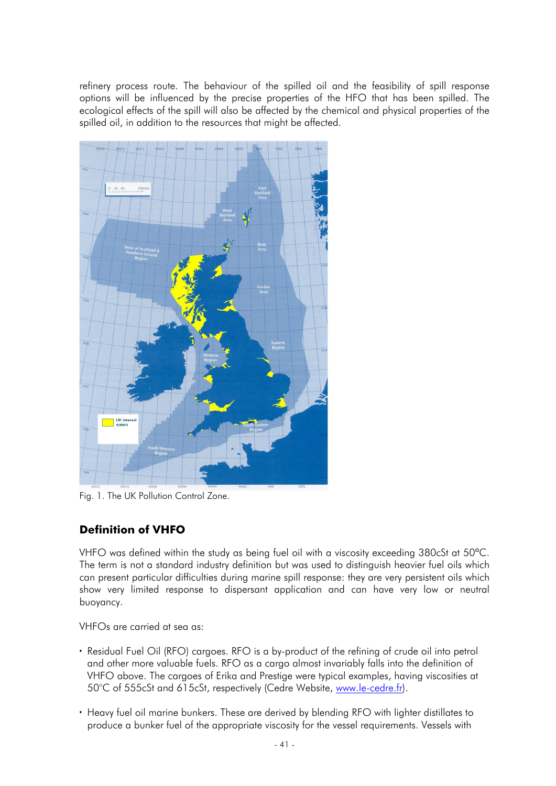refinery process route. The behaviour of the spilled oil and the feasibility of spill response options will be influenced by the precise properties of the HFO that has been spilled. The ecological effects of the spill will also be affected by the chemical and physical properties of the spilled oil, in addition to the resources that might be affected.



Fig. 1. The UK Pollution Control Zone.

# **Definition of VHFO**

VHFO was defined within the study as being fuel oil with a viscosity exceeding 380cSt at 50°C. The term is not a standard industry definition but was used to distinguish heavier fuel oils which can present particular difficulties during marine spill response: they are very persistent oils which show very limited response to dispersant application and can have very low or neutral buoyancy.

VHFOs are carried at sea as:

- Residual Fuel Oil (RFO) cargoes. RFO is a by-product of the refining of crude oil into petrol and other more valuable fuels. RFO as a cargo almost invariably falls into the definition of VHFO above. The cargoes of Erika and Prestige were typical examples, having viscosities at 50°C of 555cSt and 615cSt, respectively (Cedre Website, www.le-cedre.fr).
- Heavy fuel oil marine bunkers. These are derived by blending RFO with lighter distillates to produce a bunker fuel of the appropriate viscosity for the vessel requirements. Vessels with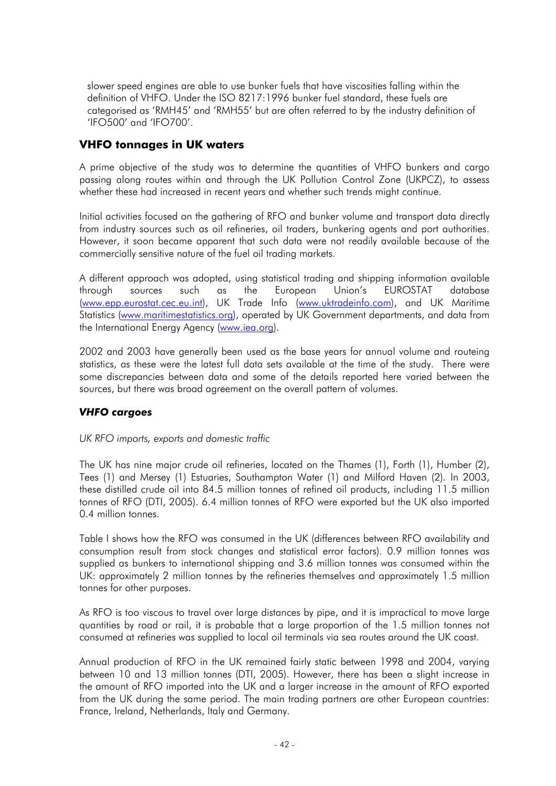slower speed engines are able to use bunker fuels that have viscosities falling within the definition of VHFO. Under the ISO 8217:1996 bunker fuel standard, these fuels are categorised as 'RMH45' and 'RMH55' but are often referred to by the industry definition of 'IFO500' and 'IFO700'.

## **VHFO tonnages in UK waters**

A prime objective of the study was to determine the quantities of VHFO bunkers and cargo passing along routes within and through the UK Pollution Control Zone (UKPCZ), to assess whether these had increased in recent years and whether such trends might continue.

Initial activities focused on the gathering of RFO and bunker volume and transport data directly from industry sources such as oil refineries, oil traders, bunkering agents and port authorities. However, it soon became apparent that such data were not readily available because of the commercially sensitive nature of the fuel oil trading markets.

A different approach was adopted, using statistical trading and shipping information available through sources such as the European Union's EUROSTAT database (www.epp.eurostat.cec.eu.int), UK Trade Info (www.uktradeinfo.com), and UK Maritime Statistics (www.maritimestatistics.org), operated by UK Government departments, and data from the International Energy Agency (www.iea.org).

2002 and 2003 have generally been used as the base years for annual volume and routeing statistics, as these were the latest full data sets available at the time of the study. There were some discrepancies between data and some of the details reported here varied between the sources, but there was broad agreement on the overall pattern of volumes.

### *VHFO cargoes*

#### *UK RFO imports, exports and domestic traffic*

The UK has nine major crude oil refineries, located on the Thames (1), Forth (1), Humber (2), Tees (1) and Mersey (1) Estuaries, Southampton Water (1) and Milford Haven (2). In 2003, these distilled crude oil into 84.5 million tonnes of refined oil products, including 11.5 million tonnes of RFO (DTI, 2005). 6.4 million tonnes of RFO were exported but the UK also imported 0.4 million tonnes.

Table I shows how the RFO was consumed in the UK (differences between RFO availability and consumption result from stock changes and statistical error factors). 0.9 million tonnes was supplied as bunkers to international shipping and 3.6 million tonnes was consumed within the UK: approximately 2 million tonnes by the refineries themselves and approximately 1.5 million tonnes for other purposes.

As RFO is too viscous to travel over large distances by pipe, and it is impractical to move large quantities by road or rail, it is probable that a large proportion of the 1.5 million tonnes not consumed at refineries was supplied to local oil terminals via sea routes around the UK coast.

Annual production of RFO in the UK remained fairly static between 1998 and 2004, varying between 10 and 13 million tonnes (DTI, 2005). However, there has been a slight increase in the amount of RFO imported into the UK and a larger increase in the amount of RFO exported from the UK during the same period. The main trading partners are other European countries: France, Ireland, Netherlands, Italy and Germany.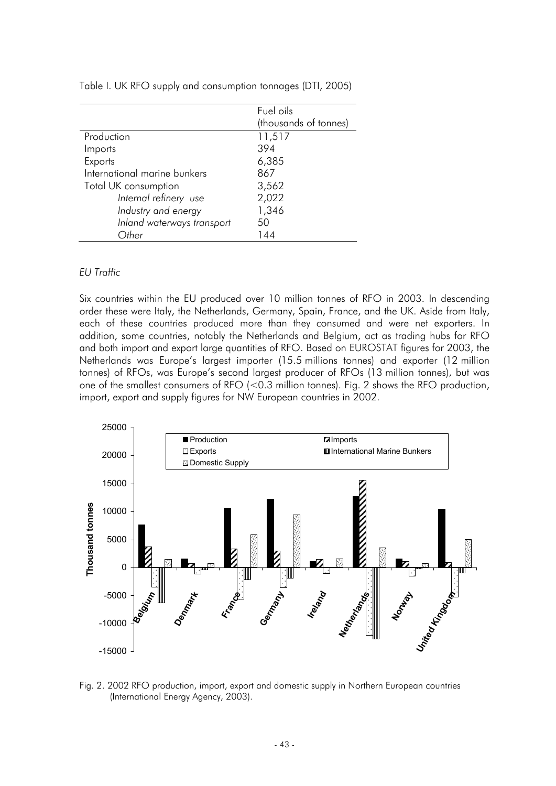|                              | Fuel oils             |
|------------------------------|-----------------------|
|                              | (thousands of tonnes) |
| Production                   | 11,517                |
| Imports                      | 394                   |
| Exports                      | 6,385                 |
| International marine bunkers | 867                   |
| Total UK consumption         | 3,562                 |
| Internal refinery use        | 2,022                 |
| Industry and energy          | 1,346                 |
| Inland waterways transport   | 50                    |
| Other                        | 144                   |

Table I. UK RFO supply and consumption tonnages (DTI, 2005)

#### *EU Traffic*

Six countries within the EU produced over 10 million tonnes of RFO in 2003. In descending order these were Italy, the Netherlands, Germany, Spain, France, and the UK. Aside from Italy, each of these countries produced more than they consumed and were net exporters. In addition, some countries, notably the Netherlands and Belgium, act as trading hubs for RFO and both import and export large quantities of RFO. Based on EUROSTAT figures for 2003, the Netherlands was Europe's largest importer (15.5 millions tonnes) and exporter (12 million tonnes) of RFOs, was Europe's second largest producer of RFOs (13 million tonnes), but was one of the smallest consumers of RFO (<0.3 million tonnes). Fig. 2 shows the RFO production, import, export and supply figures for NW European countries in 2002.



Fig. 2. 2002 RFO production, import, export and domestic supply in Northern European countries (International Energy Agency, 2003).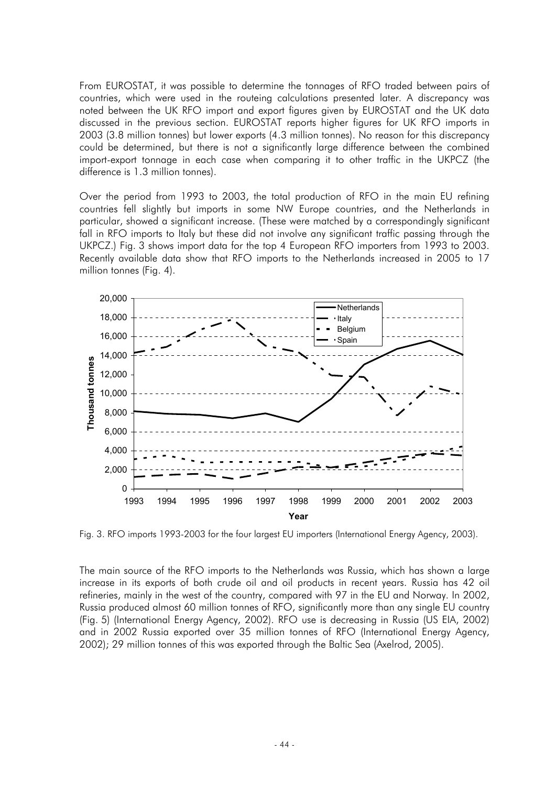From EUROSTAT, it was possible to determine the tonnages of RFO traded between pairs of countries, which were used in the routeing calculations presented later. A discrepancy was noted between the UK RFO import and export figures given by EUROSTAT and the UK data discussed in the previous section. EUROSTAT reports higher figures for UK RFO imports in 2003 (3.8 million tonnes) but lower exports (4.3 million tonnes). No reason for this discrepancy could be determined, but there is not a significantly large difference between the combined import-export tonnage in each case when comparing it to other traffic in the UKPCZ (the difference is 1.3 million tonnes).

Over the period from 1993 to 2003, the total production of RFO in the main EU refining countries fell slightly but imports in some NW Europe countries, and the Netherlands in particular, showed a significant increase. (These were matched by a correspondingly significant fall in RFO imports to Italy but these did not involve any significant traffic passing through the UKPCZ.) Fig. 3 shows import data for the top 4 European RFO importers from 1993 to 2003. Recently available data show that RFO imports to the Netherlands increased in 2005 to 17 million tonnes (Fig. 4).



Fig. 3. RFO imports 1993-2003 for the four largest EU importers (International Energy Agency, 2003).

The main source of the RFO imports to the Netherlands was Russia, which has shown a large increase in its exports of both crude oil and oil products in recent years. Russia has 42 oil refineries, mainly in the west of the country, compared with 97 in the EU and Norway. In 2002, Russia produced almost 60 million tonnes of RFO, significantly more than any single EU country (Fig. 5) (International Energy Agency, 2002). RFO use is decreasing in Russia (US EIA, 2002) and in 2002 Russia exported over 35 million tonnes of RFO (International Energy Agency, 2002); 29 million tonnes of this was exported through the Baltic Sea (Axelrod, 2005).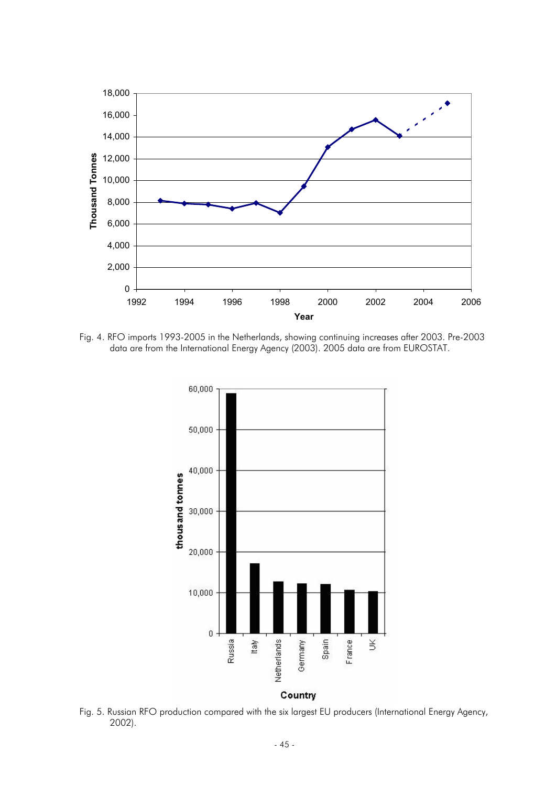

Fig. 4. RFO imports 1993-2005 in the Netherlands, showing continuing increases after 2003. Pre-2003 data are from the International Energy Agency (2003). 2005 data are from EUROSTAT.



Fig. 5. Russian RFO production compared with the six largest EU producers (International Energy Agency, 2002).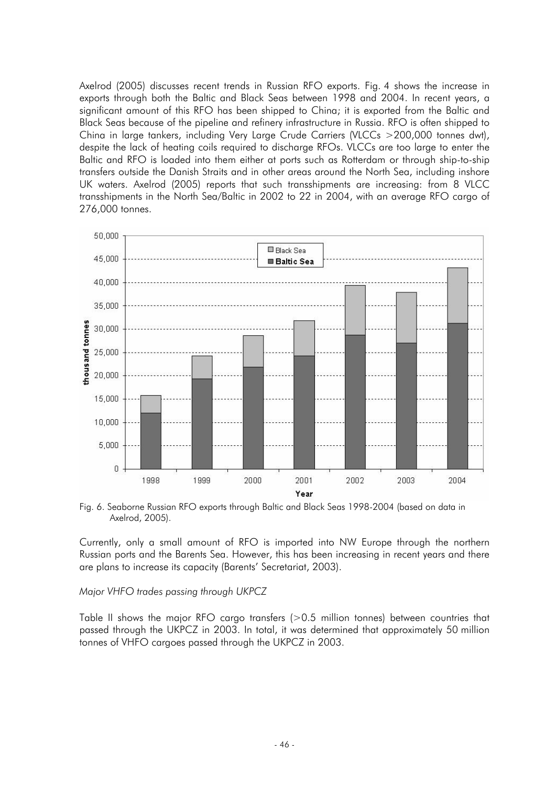Axelrod (2005) discusses recent trends in Russian RFO exports. Fig. 4 shows the increase in exports through both the Baltic and Black Seas between 1998 and 2004. In recent years, a significant amount of this RFO has been shipped to China; it is exported from the Baltic and Black Seas because of the pipeline and refinery infrastructure in Russia. RFO is often shipped to China in large tankers, including Very Large Crude Carriers (VLCCs >200,000 tonnes dwt), despite the lack of heating coils required to discharge RFOs. VLCCs are too large to enter the Baltic and RFO is loaded into them either at ports such as Rotterdam or through ship-to-ship transfers outside the Danish Straits and in other areas around the North Sea, including inshore UK waters. Axelrod (2005) reports that such transshipments are increasing: from 8 VLCC transshipments in the North Sea/Baltic in 2002 to 22 in 2004, with an average RFO cargo of 276,000 tonnes.



Fig. 6. Seaborne Russian RFO exports through Baltic and Black Seas 1998-2004 (based on data in Axelrod, 2005).

Currently, only a small amount of RFO is imported into NW Europe through the northern Russian ports and the Barents Sea. However, this has been increasing in recent years and there are plans to increase its capacity (Barents' Secretariat, 2003).

*Major VHFO trades passing through UKPCZ* 

Table II shows the major RFO cargo transfers (>0.5 million tonnes) between countries that passed through the UKPCZ in 2003. In total, it was determined that approximately 50 million tonnes of VHFO cargoes passed through the UKPCZ in 2003.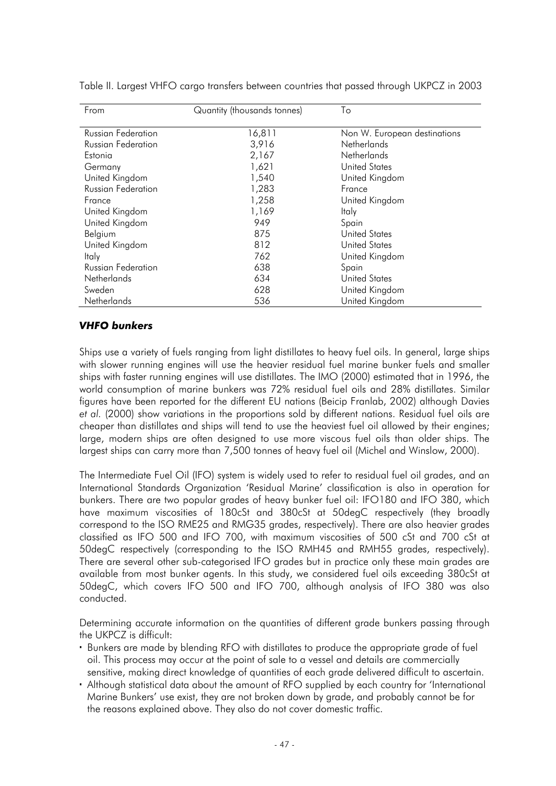| From                      | Quantity (thousands tonnes) | To                           |
|---------------------------|-----------------------------|------------------------------|
|                           |                             |                              |
| <b>Russian Federation</b> | 16,811                      | Non W. European destinations |
| Russian Federation        | 3,916                       | <b>Netherlands</b>           |
| Estonia                   | 2,167                       | <b>Netherlands</b>           |
| Germany                   | 1,621                       | <b>United States</b>         |
| United Kingdom            | 1,540                       | United Kingdom               |
| <b>Russian Federation</b> | 1,283                       | France                       |
| France                    | 1,258                       | United Kingdom               |
| United Kingdom            | 1,169                       | Italy                        |
| United Kingdom            | 949                         | Spain                        |
| Belgium                   | 875                         | <b>United States</b>         |
| United Kingdom            | 812                         | <b>United States</b>         |
| Italy                     | 762                         | United Kingdom               |
| <b>Russian Federation</b> | 638                         | Spain                        |
| <b>Netherlands</b>        | 634                         | <b>United States</b>         |
| Sweden                    | 628                         | United Kingdom               |
| Netherlands               | 536                         | United Kingdom               |

Table II. Largest VHFO cargo transfers between countries that passed through UKPCZ in 2003

#### *VHFO bunkers*

Ships use a variety of fuels ranging from light distillates to heavy fuel oils. In general, large ships with slower running engines will use the heavier residual fuel marine bunker fuels and smaller ships with faster running engines will use distillates. The IMO (2000) estimated that in 1996, the world consumption of marine bunkers was 72% residual fuel oils and 28% distillates. Similar figures have been reported for the different EU nations (Beicip Franlab, 2002) although Davies *et al.* (2000) show variations in the proportions sold by different nations. Residual fuel oils are cheaper than distillates and ships will tend to use the heaviest fuel oil allowed by their engines; large, modern ships are often designed to use more viscous fuel oils than older ships. The largest ships can carry more than 7,500 tonnes of heavy fuel oil (Michel and Winslow, 2000).

The Intermediate Fuel Oil (IFO) system is widely used to refer to residual fuel oil grades, and an International Standards Organization 'Residual Marine' classification is also in operation for bunkers. There are two popular grades of heavy bunker fuel oil: IFO180 and IFO 380, which have maximum viscosities of 180cSt and 380cSt at 50degC respectively (they broadly correspond to the ISO RME25 and RMG35 grades, respectively). There are also heavier grades classified as IFO 500 and IFO 700, with maximum viscosities of 500 cSt and 700 cSt at 50degC respectively (corresponding to the ISO RMH45 and RMH55 grades, respectively). There are several other sub-categorised IFO grades but in practice only these main grades are available from most bunker agents. In this study, we considered fuel oils exceeding 380cSt at 50degC, which covers IFO 500 and IFO 700, although analysis of IFO 380 was also conducted.

Determining accurate information on the quantities of different grade bunkers passing through the UKPCZ is difficult:

- Bunkers are made by blending RFO with distillates to produce the appropriate grade of fuel oil. This process may occur at the point of sale to a vessel and details are commercially sensitive, making direct knowledge of quantities of each grade delivered difficult to ascertain.
- Although statistical data about the amount of RFO supplied by each country for 'International Marine Bunkers' use exist, they are not broken down by grade, and probably cannot be for the reasons explained above. They also do not cover domestic traffic.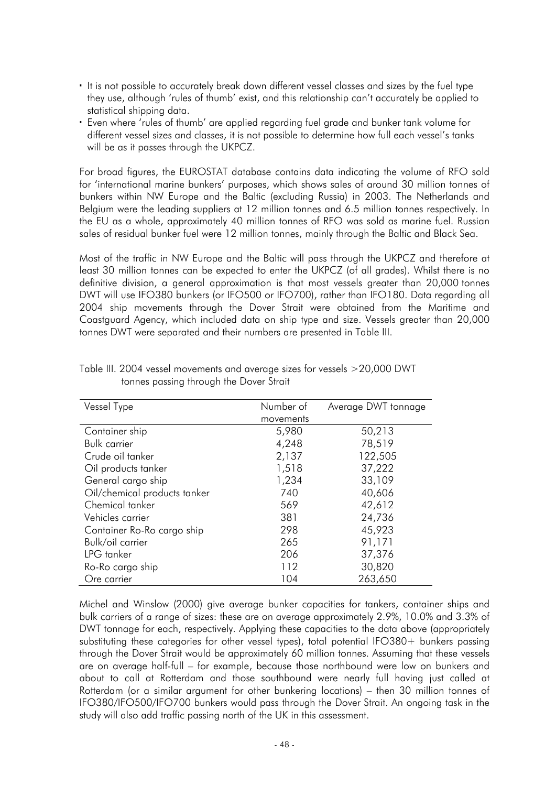- It is not possible to accurately break down different vessel classes and sizes by the fuel type they use, although 'rules of thumb' exist, and this relationship can't accurately be applied to statistical shipping data.
- Even where 'rules of thumb' are applied regarding fuel grade and bunker tank volume for different vessel sizes and classes, it is not possible to determine how full each vessel's tanks will be as it passes through the UKPCZ.

For broad figures, the EUROSTAT database contains data indicating the volume of RFO sold for 'international marine bunkers' purposes, which shows sales of around 30 million tonnes of bunkers within NW Europe and the Baltic (excluding Russia) in 2003. The Netherlands and Belgium were the leading suppliers at 12 million tonnes and 6.5 million tonnes respectively. In the EU as a whole, approximately 40 million tonnes of RFO was sold as marine fuel. Russian sales of residual bunker fuel were 12 million tonnes, mainly through the Baltic and Black Sea.

Most of the traffic in NW Europe and the Baltic will pass through the UKPCZ and therefore at least 30 million tonnes can be expected to enter the UKPCZ (of all grades). Whilst there is no definitive division, a general approximation is that most vessels greater than 20,000 tonnes DWT will use IFO380 bunkers (or IFO500 or IFO700), rather than IFO180. Data regarding all 2004 ship movements through the Dover Strait were obtained from the Maritime and Coastguard Agency, which included data on ship type and size. Vessels greater than 20,000 tonnes DWT were separated and their numbers are presented in Table III.

| Vessel Type                  | Number of | Average DWT tonnage |
|------------------------------|-----------|---------------------|
|                              | movements |                     |
| Container ship               | 5,980     | 50,213              |
| <b>Bulk carrier</b>          | 4,248     | 78,519              |
| Crude oil tanker             | 2,137     | 122,505             |
| Oil products tanker          | 1,518     | 37,222              |
| General cargo ship           | 1,234     | 33,109              |
| Oil/chemical products tanker | 740       | 40,606              |
| Chemical tanker              | 569       | 42,612              |
| Vehicles carrier             | 381       | 24,736              |
| Container Ro-Ro cargo ship   | 298       | 45,923              |
| Bulk/oil carrier             | 265       | 91,171              |
| LPG tanker                   | 206       | 37,376              |
| Ro-Ro cargo ship             | 112       | 30,820              |
| Ore carrier                  | 104       | 263,650             |

Table III. 2004 vessel movements and average sizes for vessels >20,000 DWT tonnes passing through the Dover Strait

Michel and Winslow (2000) give average bunker capacities for tankers, container ships and bulk carriers of a range of sizes: these are on average approximately 2.9%, 10.0% and 3.3% of DWT tonnage for each, respectively. Applying these capacities to the data above (appropriately substituting these categories for other vessel types), total potential IFO380+ bunkers passing through the Dover Strait would be approximately 60 million tonnes. Assuming that these vessels are on average half-full – for example, because those northbound were low on bunkers and about to call at Rotterdam and those southbound were nearly full having just called at Rotterdam (or a similar argument for other bunkering locations) – then 30 million tonnes of IFO380/IFO500/IFO700 bunkers would pass through the Dover Strait. An ongoing task in the study will also add traffic passing north of the UK in this assessment.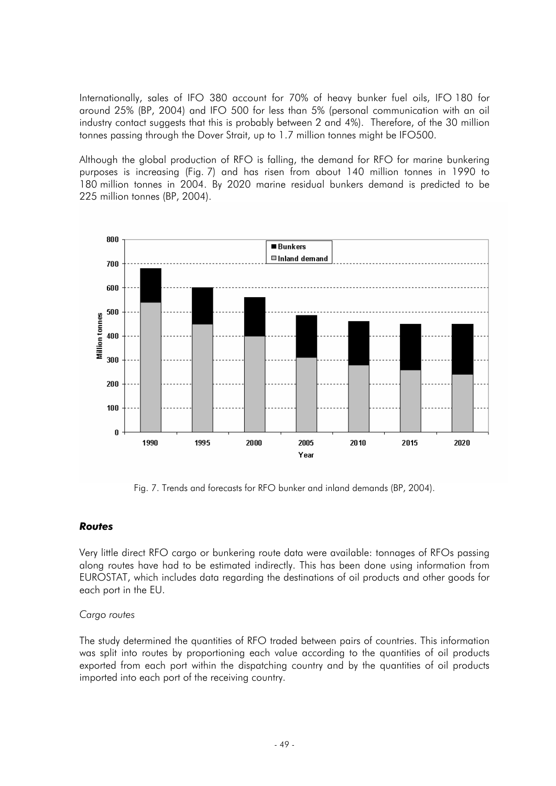Internationally, sales of IFO 380 account for 70% of heavy bunker fuel oils, IFO 180 for around 25% (BP, 2004) and IFO 500 for less than 5% (personal communication with an oil industry contact suggests that this is probably between 2 and 4%). Therefore, of the 30 million tonnes passing through the Dover Strait, up to 1.7 million tonnes might be IFO500.

Although the global production of RFO is falling, the demand for RFO for marine bunkering purposes is increasing (Fig. 7) and has risen from about 140 million tonnes in 1990 to 180 million tonnes in 2004. By 2020 marine residual bunkers demand is predicted to be 225 million tonnes (BP, 2004).



Fig. 7. Trends and forecasts for RFO bunker and inland demands (BP, 2004).

### *Routes*

Very little direct RFO cargo or bunkering route data were available: tonnages of RFOs passing along routes have had to be estimated indirectly. This has been done using information from EUROSTAT, which includes data regarding the destinations of oil products and other goods for each port in the EU.

#### *Cargo routes*

The study determined the quantities of RFO traded between pairs of countries. This information was split into routes by proportioning each value according to the quantities of oil products exported from each port within the dispatching country and by the quantities of oil products imported into each port of the receiving country.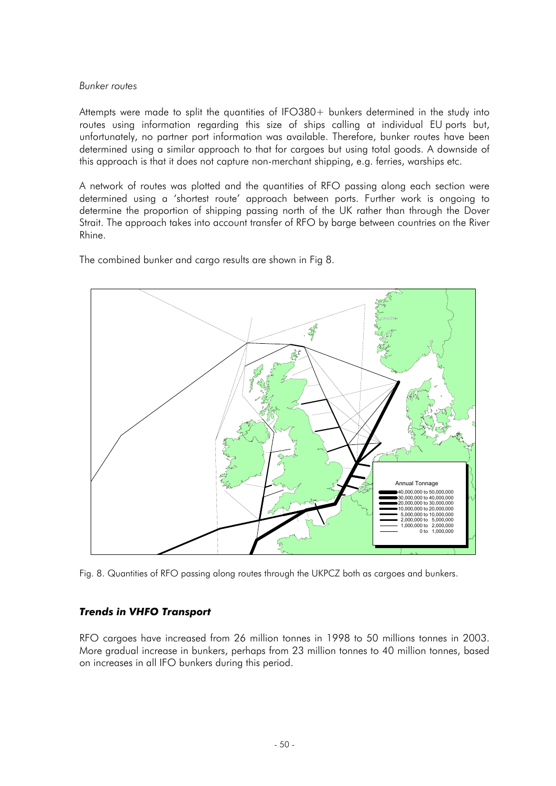#### *Bunker routes*

Attempts were made to split the quantities of IFO380+ bunkers determined in the study into routes using information regarding this size of ships calling at individual EU ports but, unfortunately, no partner port information was available. Therefore, bunker routes have been determined using a similar approach to that for cargoes but using total goods. A downside of this approach is that it does not capture non-merchant shipping, e.g. ferries, warships etc.

A network of routes was plotted and the quantities of RFO passing along each section were determined using a 'shortest route' approach between ports. Further work is ongoing to determine the proportion of shipping passing north of the UK rather than through the Dover Strait. The approach takes into account transfer of RFO by barge between countries on the River Rhine.

The combined bunker and cargo results are shown in Fig 8.



Fig. 8. Quantities of RFO passing along routes through the UKPCZ both as cargoes and bunkers.

### *Trends in VHFO Transport*

RFO cargoes have increased from 26 million tonnes in 1998 to 50 millions tonnes in 2003. More gradual increase in bunkers, perhaps from 23 million tonnes to 40 million tonnes, based on increases in all IFO bunkers during this period.